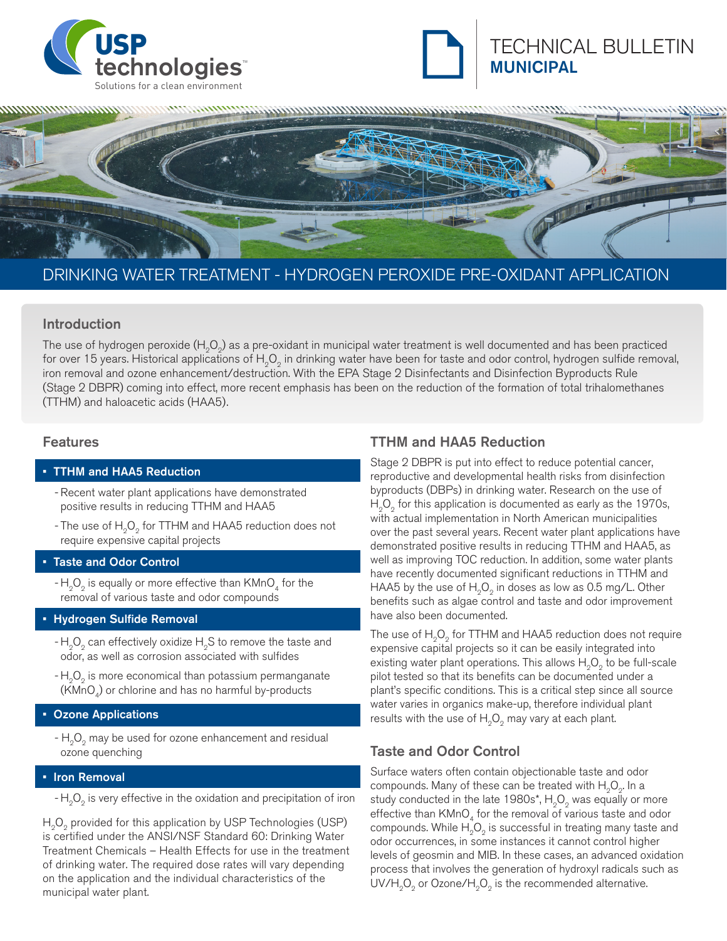





# DRINKING WATER TREATMENT - HYDROGEN PEROXIDE PRE-OXIDANT APPLICATION

### Introduction

The use of hydrogen peroxide  $(H_2O_2)$  as a pre-oxidant in municipal water treatment is well documented and has been practiced for over 15 years. Historical applications of  $H_2O_2$  in drinking water have been for taste and odor control, hydrogen sulfide removal, iron removal and ozone enhancement/destruction. With the EPA Stage 2 Disinfectants and Disinfection Byproducts Rule (Stage 2 DBPR) coming into effect, more recent emphasis has been on the reduction of the formation of total trihalomethanes (TTHM) and haloacetic acids (HAA5).

### Features

#### • TTHM and HAA5 Reduction

- Recent water plant applications have demonstrated positive results in reducing TTHM and HAA5
- The use of H<sub>2</sub>O<sub>2</sub> for TTHM and HAA5 reduction does not require expensive capital projects

### **Taste and Odor Control**

 $-H_0O_2$  is equally or more effective than KMnO<sub>4</sub> for the removal of various taste and odor compounds

### • Hydrogen Sulfide Removal

- $-H<sub>2</sub>O<sub>2</sub>$  can effectively oxidize  $H<sub>2</sub>S$  to remove the taste and odor, as well as corrosion associated with sulfides
- $-H<sub>2</sub>O<sub>2</sub>$  is more economical than potassium permanganate  $(KMnO<sub>A</sub>)$  or chlorine and has no harmful by-products

### **Ozone Applications**

 $- H<sub>2</sub>O<sub>2</sub>$  may be used for ozone enhancement and residual ozone quenching

### **Iron Removal**

 $-H<sub>o</sub>O<sub>o</sub>$  is very effective in the oxidation and precipitation of iron

 $H<sub>2</sub>O<sub>2</sub>$  provided for this application by USP Technologies (USP) is certified under the ANSI/NSF Standard 60: Drinking Water Treatment Chemicals – Health Effects for use in the treatment of drinking water. The required dose rates will vary depending on the application and the individual characteristics of the municipal water plant.

### TTHM and HAA5 Reduction

Stage 2 DBPR is put into effect to reduce potential cancer, reproductive and developmental health risks from disinfection byproducts (DBPs) in drinking water. Research on the use of  $H<sub>a</sub>O<sub>a</sub>$  for this application is documented as early as the 1970s, with actual implementation in North American municipalities over the past several years. Recent water plant applications have demonstrated positive results in reducing TTHM and HAA5, as well as improving TOC reduction. In addition, some water plants have recently documented significant reductions in TTHM and HAA5 by the use of  $H_2O_2$  in doses as low as 0.5 mg/L. Other benefits such as algae control and taste and odor improvement have also been documented.

The use of  $H_2O_2$  for TTHM and HAA5 reduction does not require expensive capital projects so it can be easily integrated into existing water plant operations. This allows  $H_0O_2$  to be full-scale pilot tested so that its benefits can be documented under a plant's specific conditions. This is a critical step since all source water varies in organics make-up, therefore individual plant results with the use of  $H_2O_2$  may vary at each plant.

### Taste and Odor Control

Surface waters often contain objectionable taste and odor compounds. Many of these can be treated with  $H_0O_2$ . In a study conducted in the late  $1980s^*$ , H<sub>2</sub>O<sub>2</sub> was equally or more effective than  $KMnO<sub>4</sub>$  for the removal of various taste and odor compounds. While  $H_2O_2$  is successful in treating many taste and odor occurrences, in some instances it cannot control higher levels of geosmin and MIB. In these cases, an advanced oxidation process that involves the generation of hydroxyl radicals such as  $UV/H<sub>2</sub>O<sub>2</sub>$  or Ozone/ $H<sub>2</sub>O<sub>2</sub>$  is the recommended alternative.